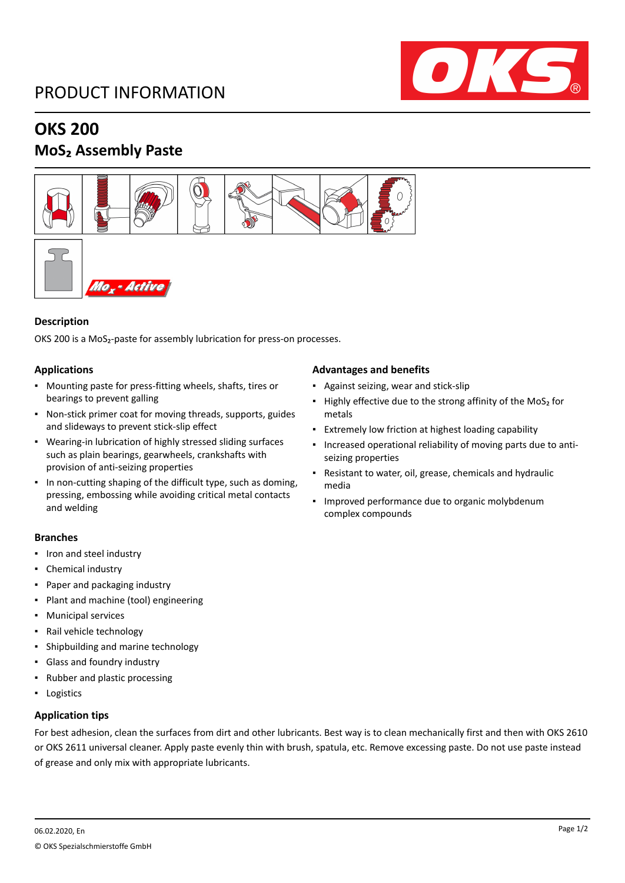# PRODUCT INFORMATION



## **OKS 200**

### **MoS₂ Assembly Paste**



### **Description**

OKS 200 is a MoS<sub>2</sub>-paste for assembly lubrication for press-on processes.

### **Applications**

- Mounting paste for press-fitting wheels, shafts, tires or bearings to prevent galling
- Non-stick primer coat for moving threads, supports, guides and slideways to prevent stick-slip effect
- Wearing-in lubrication of highly stressed sliding surfaces such as plain bearings, gearwheels, crankshafts with provision of anti-seizing properties
- In non-cutting shaping of the difficult type, such as doming, pressing, embossing while avoiding critical metal contacts and welding

### **Branches**

- Iron and steel industry
- Chemical industry
- Paper and packaging industry
- Plant and machine (tool) engineering
- Municipal services
- Rail vehicle technology
- Shipbuilding and marine technology
- Glass and foundry industry
- Rubber and plastic processing
- Logistics

### **Application tips**

For best adhesion, clean the surfaces from dirt and other lubricants. Best way is to clean mechanically first and then with OKS 2610 or OKS 2611 universal cleaner. Apply paste evenly thin with brush, spatula, etc. Remove excessing paste. Do not use paste instead of grease and only mix with appropriate lubricants.

#### **Advantages and benefits**

- Against seizing, wear and stick-slip
- Highly effective due to the strong affinity of the MoS<sub>2</sub> for metals
- **Extremely low friction at highest loading capability**
- Increased operational reliability of moving parts due to antiseizing properties
- Resistant to water, oil, grease, chemicals and hydraulic media
- Improved performance due to organic molybdenum complex compounds